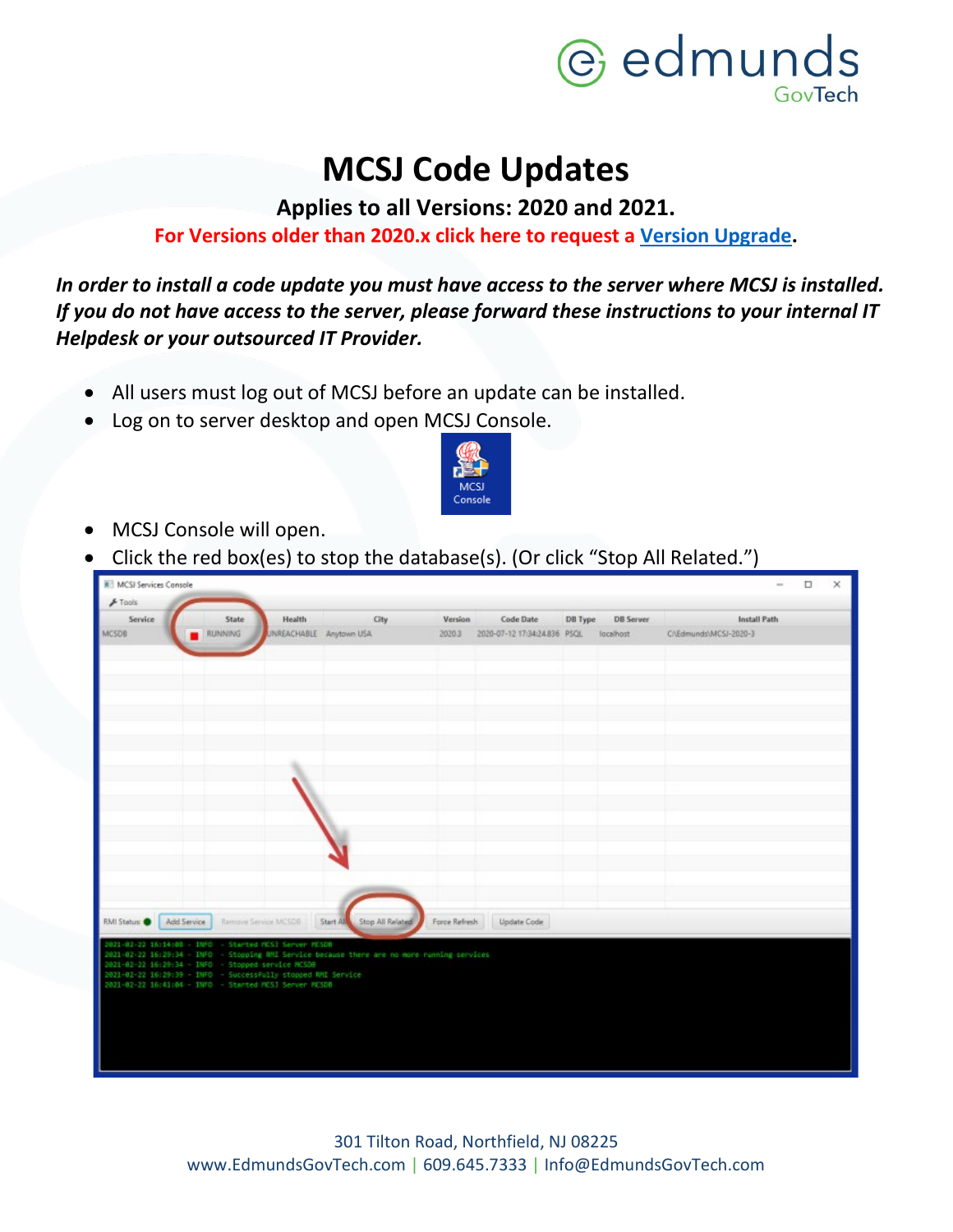

### **MCSJ Code Updates**

**Applies to all Versions: 2020 and 2021.**

**For Versions older than 2020.x click here to request a [Version Upgrade.](https://form.jotform.com/51595586503160)**

*In order to install a code update you must have access to the server where MCSJ is installed. If you do not have access to the server, please forward these instructions to your internal IT Helpdesk or your outsourced IT Provider.*

- All users must log out of MCSJ before an update can be installed.
- Log on to server desktop and open MCSJ Console.



- MCSJ Console will open.
- Click the red box(es) to stop the database(s). (Or click "Stop All Related.")

| MCSI Services Console                                                                                                   |                |                         |                                                                                              |               |                                        |         |                  | $\times$<br>O<br>$\sim$ |
|-------------------------------------------------------------------------------------------------------------------------|----------------|-------------------------|----------------------------------------------------------------------------------------------|---------------|----------------------------------------|---------|------------------|-------------------------|
| $F$ Tools                                                                                                               |                |                         |                                                                                              |               |                                        |         |                  |                         |
| Service                                                                                                                 | State          | Health                  | City                                                                                         | Version       | Code Date                              | DB Type | <b>DB Server</b> | Install Path            |
| <b>MCSDB</b>                                                                                                            | <b>RUNNING</b> | UNREACHABLE Anytown USA |                                                                                              | 20203         | 2020-07-12 17:34:24.836 PSQL localhost |         |                  | C/LEdmunds/LMCSJ-2020-3 |
|                                                                                                                         |                |                         |                                                                                              |               |                                        |         |                  |                         |
|                                                                                                                         |                |                         |                                                                                              |               |                                        |         |                  |                         |
|                                                                                                                         |                |                         |                                                                                              |               |                                        |         |                  |                         |
|                                                                                                                         |                |                         |                                                                                              |               |                                        |         |                  |                         |
|                                                                                                                         |                |                         |                                                                                              |               |                                        |         |                  |                         |
|                                                                                                                         |                |                         |                                                                                              |               |                                        |         |                  |                         |
|                                                                                                                         |                |                         |                                                                                              |               |                                        |         |                  |                         |
|                                                                                                                         |                |                         |                                                                                              |               |                                        |         |                  |                         |
|                                                                                                                         |                |                         |                                                                                              |               |                                        |         |                  |                         |
|                                                                                                                         |                |                         |                                                                                              |               |                                        |         |                  |                         |
|                                                                                                                         |                |                         |                                                                                              |               |                                        |         |                  |                         |
|                                                                                                                         |                |                         |                                                                                              |               |                                        |         |                  |                         |
|                                                                                                                         |                |                         |                                                                                              |               |                                        |         |                  |                         |
|                                                                                                                         |                |                         |                                                                                              |               |                                        |         |                  |                         |
|                                                                                                                         |                |                         |                                                                                              |               |                                        |         |                  |                         |
|                                                                                                                         |                |                         |                                                                                              |               |                                        |         |                  |                         |
| <b>RMI Status:</b>                                                                                                      | Add Service    | Remove Service MCSDB    | Start All<br>Stop All Related                                                                | Force Refresh | Update Code                            |         |                  |                         |
| 2021-02-22 16:14:08 - INFO - Started MCSI Server MCSDB                                                                  |                |                         |                                                                                              |               |                                        |         |                  |                         |
| 2021-02-22 16:29:34 - INFO - Stopped service MCSDB                                                                      |                |                         | 2021-02-22 16:29:34 - IMFO - Stopping AMI Service because there are no more running services |               |                                        |         |                  |                         |
| 2021-02-22 16:29:39 - IMFO - Successfully stopped RMI Service<br>2021-02-22 16:41:04 - INFO - Started MCSJ Server MCSOB |                |                         |                                                                                              |               |                                        |         |                  |                         |
|                                                                                                                         |                |                         |                                                                                              |               |                                        |         |                  |                         |
|                                                                                                                         |                |                         |                                                                                              |               |                                        |         |                  |                         |
|                                                                                                                         |                |                         |                                                                                              |               |                                        |         |                  |                         |
|                                                                                                                         |                |                         |                                                                                              |               |                                        |         |                  |                         |
|                                                                                                                         |                |                         |                                                                                              |               |                                        |         |                  |                         |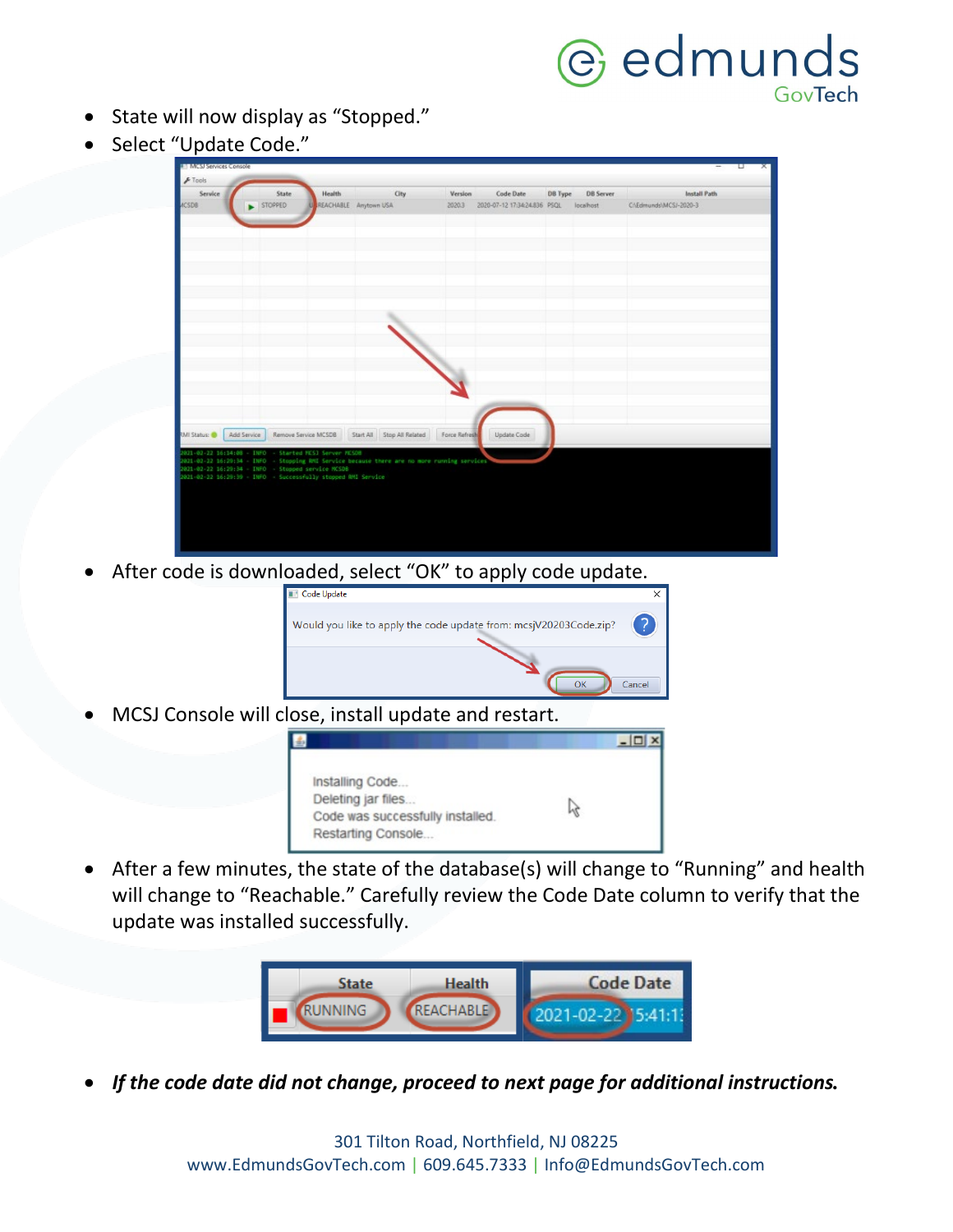## @ edmunds GovTech

- State will now display as "Stopped."
- Select "Update Code."

| Health<br>City<br><b>Version</b><br>Code Date<br>DB Server<br><b>Install Path</b><br>DB Type<br>State<br>Service<br>STOPPED<br>REACHABLE Anytown USA<br>2020.3<br>2020-07-12 17:34:24.836 PSQL localhost<br><b>ACSDB</b><br>C/JEdmunds/JMCSJ-2020-3 |
|-----------------------------------------------------------------------------------------------------------------------------------------------------------------------------------------------------------------------------------------------------|
|                                                                                                                                                                                                                                                     |
|                                                                                                                                                                                                                                                     |
|                                                                                                                                                                                                                                                     |
|                                                                                                                                                                                                                                                     |
|                                                                                                                                                                                                                                                     |
|                                                                                                                                                                                                                                                     |
|                                                                                                                                                                                                                                                     |
|                                                                                                                                                                                                                                                     |
| Start All Stop All Related<br>Update Code<br>Add Service<br>Remove Service MCSDB<br>Force Refresh<br><b>UMI Status:</b>                                                                                                                             |
| 2021-02-22 16:14:08 - INFO - Started MCS3 Server MCSD8                                                                                                                                                                                              |

After code is downloaded, select "OK" to apply code update.



MCSJ Console will close, install update and restart.



• After a few minutes, the state of the database(s) will change to "Running" and health will change to "Reachable." Carefully review the Code Date column to verify that the update was installed successfully.



• *If the code date did not change, proceed to next page for additional instructions.*

301 Tilton Road, Northfield, NJ 08225 www.EdmundsGovTech.com | 609.645.7333 | Info@EdmundsGovTech.com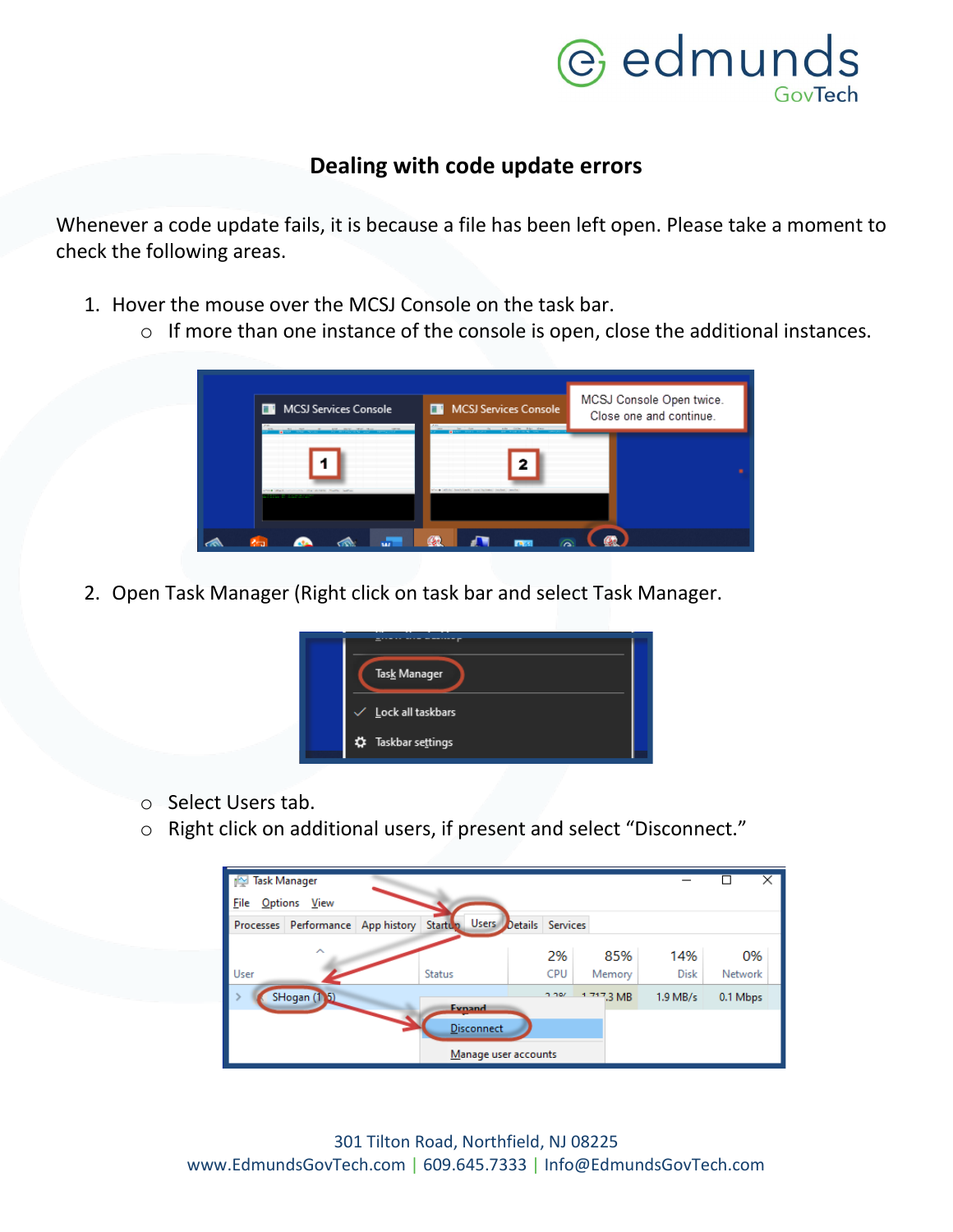# **C** edmunds

#### **Dealing with code update errors**

Whenever a code update fails, it is because a file has been left open. Please take a moment to check the following areas.

- 1. Hover the mouse over the MCSJ Console on the task bar.
	- o If more than one instance of the console is open, close the additional instances.



2. Open Task Manager (Right click on task bar and select Task Manager.



- o Select Users tab.
- o Right click on additional users, if present and select "Disconnect."

| Task Manager<br>Options View<br><b>File</b> |                      |                        |                     |                    | ×             |  |
|---------------------------------------------|----------------------|------------------------|---------------------|--------------------|---------------|--|
| Processes Performance App history Startup   |                      | Users Details Services |                     |                    |               |  |
| ᄉ<br>User                                   | <b>Status</b>        | 2%<br>CPU              | 85%<br>Memory       | 14%<br><b>Disk</b> | 0%<br>Network |  |
| SHogan (1 5)                                | <b>Fynand</b>        | $n$ nor                | $1717,3 \text{ MB}$ | $1.9$ MB/s         | 0.1 Mbps      |  |
|                                             | <b>Disconnect</b>    |                        |                     |                    |               |  |
|                                             | Manage user accounts |                        |                     |                    |               |  |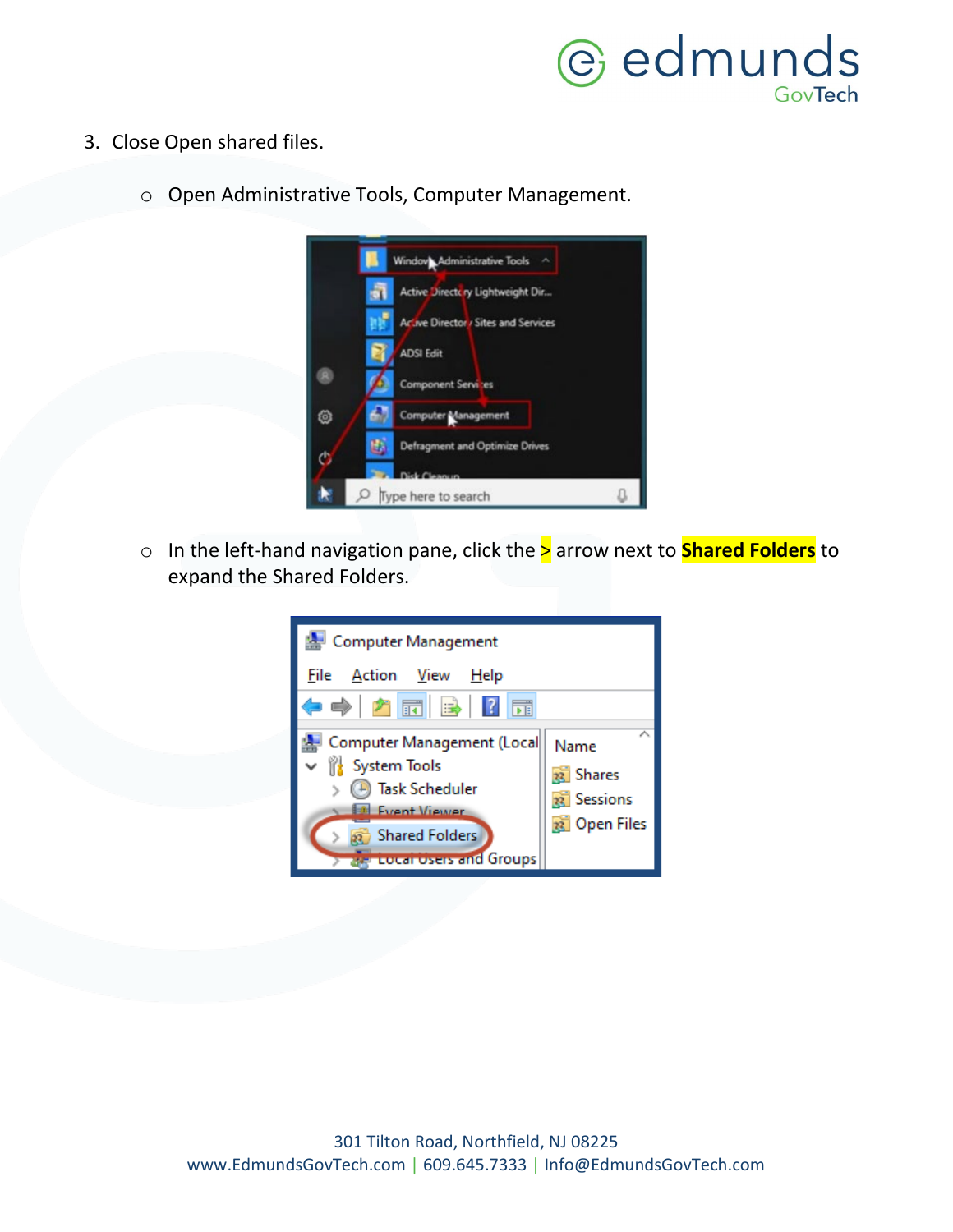

- 3. Close Open shared files.
	- o Open Administrative Tools, Computer Management.



o In the left-hand navigation pane, click the > arrow next to **Shared Folders** to expand the Shared Folders.

| Computer Management                                                                                                                                           |                                                  |
|---------------------------------------------------------------------------------------------------------------------------------------------------------------|--------------------------------------------------|
| File Action View Help                                                                                                                                         |                                                  |
| $\leftarrow$ $\leftarrow$ $\left  \frac{1}{2} \right $ $\left  \frac{1}{10} \right $ $\left  \frac{1}{2} \right $ $\left  \frac{1}{10} \right $               |                                                  |
| Computer Management (Local<br>$\vee$ $\ _2^1$ System Tools<br>Task Scheduler<br><b>Event Viewer</b><br><b>Shared Folders</b><br><b>Eucal Osers and Groups</b> | Name<br>23 Shares<br>8 Sessions<br>28 Open Files |